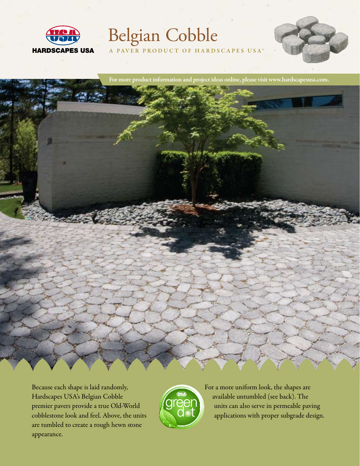

# Belgian Cobble

A PAVER PRODUCT OF HARDSCAPES USA<sup>™</sup>



For more product information and project ideas online, please visit www.hardscapesusa.com.



Because each shape is laid randomly, Hardscapes USA's Belgian Cobble premier pavers provide a true Old-World cobblestone look and feel. Above, the units are tumbled to create a rough hewn stone appearance.



For a more uniform look, the shapes are available untumbled (see back). The units can also serve in permeable paving applications with proper subgrade design.